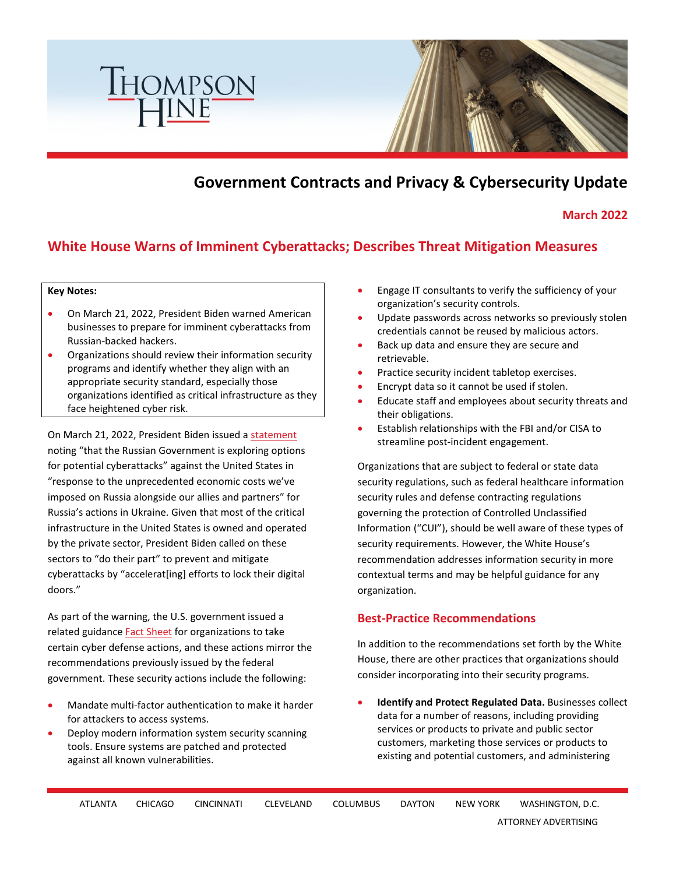

# **Government Contracts and Privacy & Cybersecurity Update**

**March 2022** 

## **White House Warns of Imminent Cyberattacks; Describes Threat Mitigation Measures**

#### **Key Notes:**

- On March 21, 2022, President Biden warned American businesses to prepare for imminent cyberattacks from Russian-backed hackers.
- Organizations should review their information security programs and identify whether they align with an appropriate security standard, especially those organizations identified as critical infrastructure as they face heightened cyber risk.

On March 21, 2022, President Biden issued a [statement](https://www.whitehouse.gov/briefing-room/statements-releases/2022/03/21/statement-by-president-biden-on-our-nations-cybersecurity/) noting "that the Russian Government is exploring options for potential cyberattacks" against the United States in "response to the unprecedented economic costs we've imposed on Russia alongside our allies and partners" for Russia's actions in Ukraine. Given that most of the critical infrastructure in the United States is owned and operated by the private sector, President Biden called on these sectors to "do their part" to prevent and mitigate cyberattacks by "accelerat[ing] efforts to lock their digital doors."

As part of the warning, the U.S. government issued a related guidance **Fact Sheet** for organizations to take certain cyber defense actions, and these actions mirror the recommendations previously issued by the federal government. These security actions include the following:

- Mandate multi-factor authentication to make it harder for attackers to access systems.
- Deploy modern information system security scanning tools. Ensure systems are patched and protected against all known vulnerabilities.
- Engage IT consultants to verify the sufficiency of your organization's security controls.
- Update passwords across networks so previously stolen credentials cannot be reused by malicious actors.
- Back up data and ensure they are secure and retrievable.
- Practice security incident tabletop exercises.
- Encrypt data so it cannot be used if stolen.
- Educate staff and employees about security threats and their obligations.
- Establish relationships with the FBI and/or CISA to streamline post-incident engagement.

Organizations that are subject to federal or state data security regulations, such as federal healthcare information security rules and defense contracting regulations governing the protection of Controlled Unclassified Information ("CUI"), should be well aware of these types of security requirements. However, the White House's recommendation addresses information security in more contextual terms and may be helpful guidance for any organization.

#### **Best-Practice Recommendations**

In addition to the recommendations set forth by the White House, there are other practices that organizations should consider incorporating into their security programs.

• **Identify and Protect Regulated Data.** Businesses collect data for a number of reasons, including providing services or products to private and public sector customers, marketing those services or products to existing and potential customers, and administering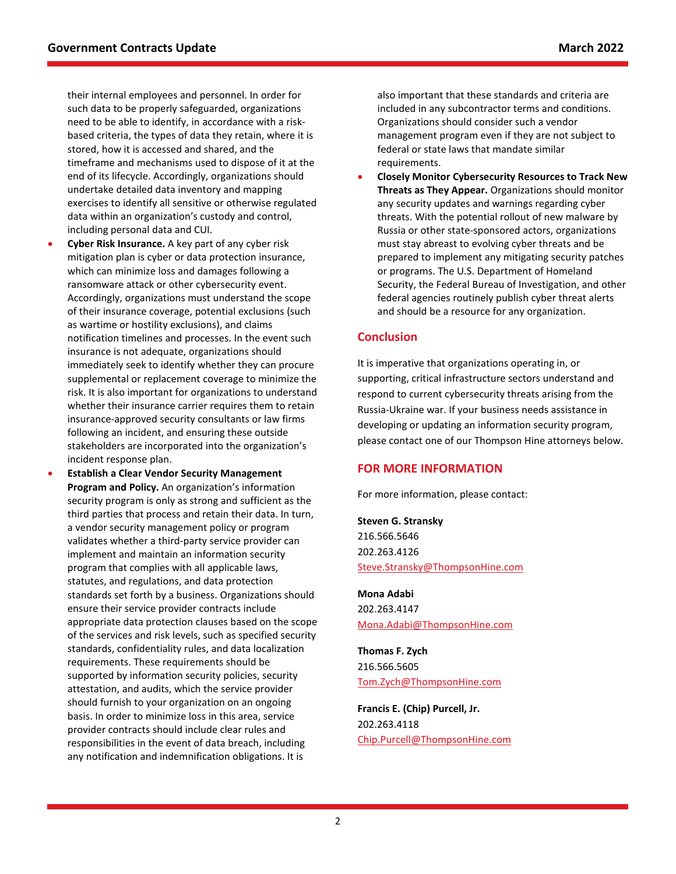their internal employees and personnel. In order for such data to be properly safeguarded, organizations need to be able to identify, in accordance with a riskbased criteria, the types of data they retain, where it is stored, how it is accessed and shared, and the timeframe and mechanisms used to dispose of it at the end of its lifecycle. Accordingly, organizations should undertake detailed data inventory and mapping exercises to identify all sensitive or otherwise regulated data within an organization's custody and control, including personal data and CUI.

- **Cyber Risk Insurance.** A key part of any cyber risk mitigation plan is cyber or data protection insurance, which can minimize loss and damages following a ransomware attack or other cybersecurity event. Accordingly, organizations must understand the scope of their insurance coverage, potential exclusions (such as wartime or hostility exclusions), and claims notification timelines and processes. In the event such insurance is not adequate, organizations should immediately seek to identify whether they can procure supplemental or replacement coverage to minimize the risk. It is also important for organizations to understand whether their insurance carrier requires them to retain insurance-approved security consultants or law firms following an incident, and ensuring these outside stakeholders are incorporated into the organization's incident response plan.
- **Establish a Clear Vendor Security Management Program and Policy.** An organization's information security program is only as strong and sufficient as the third parties that process and retain their data. In turn, a vendor security management policy or program validates whether a third-party service provider can implement and maintain an information security program that complies with all applicable laws, statutes, and regulations, and data protection standards set forth by a business. Organizations should ensure their service provider contracts include appropriate data protection clauses based on the scope of the services and risk levels, such as specified security standards, confidentiality rules, and data localization requirements. These requirements should be supported by information security policies, security attestation, and audits, which the service provider should furnish to your organization on an ongoing basis. In order to minimize loss in this area, service provider contracts should include clear rules and responsibilities in the event of data breach, including any notification and indemnification obligations. It is

also important that these standards and criteria are included in any subcontractor terms and conditions. Organizations should consider such a vendor management program even if they are not subject to federal or state laws that mandate similar requirements.

• **Closely Monitor Cybersecurity Resources to Track New Threats as They Appear.** Organizations should monitor any security updates and warnings regarding cyber threats. With the potential rollout of new malware by Russia or other state-sponsored actors, organizations must stay abreast to evolving cyber threats and be prepared to implement any mitigating security patches or programs. The U.S. Department of Homeland Security, the Federal Bureau of Investigation, and other federal agencies routinely publish cyber threat alerts and should be a resource for any organization.

#### **Conclusion**

It is imperative that organizations operating in, or supporting, critical infrastructure sectors understand and respond to current cybersecurity threats arising from the Russia-Ukraine war. If your business needs assistance in developing or updating an information security program, please contact one of our Thompson Hine attorneys below.

### **FOR MORE INFORMATION**

For more information, please contact:

**Steven G. Stransky** 216.566.5646 202.263.4126 [Steve.Stransky@ThompsonHine.com](mailto:Steve.Stransky@ThompsonHine.com)

**Mona Adabi** 202.263.4147 [Mona.Adabi@ThompsonHine.com](mailto:Mona.Adabi@ThompsonHine.com)

**Thomas F. Zych** 216.566.5605 [Tom.Zych@ThompsonHine.com](mailto:Tom.Zych@ThompsonHine.com)

**Francis E. (Chip) Purcell, Jr.** 202.263.4118 [Chip.Purcell@ThompsonHine.com](mailto:Chip.Purcell@ThompsonHine.com)